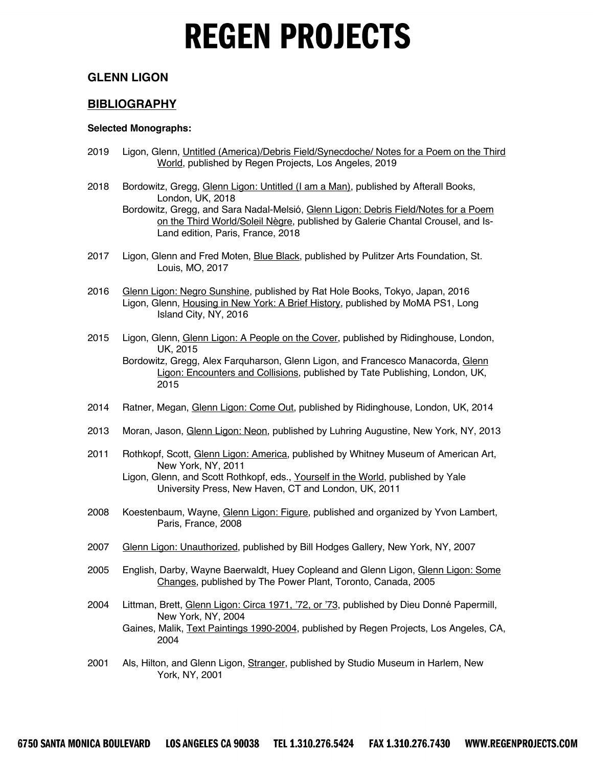#### **GLENN LIGON**

#### **BIBLIOGRAPHY**

#### **Selected Monographs:**

Louis, MO, 2017

2015

- 2019 Ligon, Glenn, Untitled (America)/Debris Field/Synecdoche/ Notes for a Poem on the Third World, published by Regen Projects, Los Angeles, 2019
- 2018 Bordowitz, Gregg, Glenn Ligon: Untitled (I am a Man), published by Afterall Books, London, UK, 2018 Bordowitz, Gregg, and Sara Nadal-Melsió, Glenn Ligon: Debris Field/Notes for a Poem on the Third World/Soleil Nègre, published by Galerie Chantal Crousel, and Is-
- Land edition, Paris, France, 2018 2017 Ligon, Glenn and Fred Moten, Blue Black, published by Pulitzer Arts Foundation, St.
- 2016 Glenn Ligon: Negro Sunshine, published by Rat Hole Books, Tokyo, Japan, 2016 Ligon, Glenn, Housing in New York: A Brief History, published by MoMA PS1, Long Island City, NY, 2016
- 2015 Ligon, Glenn, Glenn Ligon: A People on the Cover, published by Ridinghouse, London, UK, 2015 Bordowitz, Gregg, Alex Farquharson, Glenn Ligon, and Francesco Manacorda, Glenn Ligon: Encounters and Collisions, published by Tate Publishing, London, UK,
- 2014 Ratner, Megan, Glenn Ligon: Come Out, published by Ridinghouse, London, UK, 2014
- 2013 Moran, Jason, *Glenn Ligon: Neon*, published by Luhring Augustine, New York, NY, 2013
- 2011 Rothkopf, Scott, Glenn Ligon: America, published by Whitney Museum of American Art, New York, NY, 2011

Ligon, Glenn, and Scott Rothkopf, eds., Yourself in the World, published by Yale University Press, New Haven, CT and London, UK, 2011

- 2008 Koestenbaum, Wayne, Glenn Ligon: Figure, published and organized by Yvon Lambert, Paris, France, 2008
- 2007 Glenn Ligon: Unauthorized, published by Bill Hodges Gallery, New York, NY, 2007
- 2005 English, Darby, Wayne Baerwaldt, Huey Copleand and Glenn Ligon, Glenn Ligon: Some Changes, published by The Power Plant, Toronto, Canada, 2005
- 2004 Littman, Brett, Glenn Ligon: Circa 1971, '72, or '73, published by Dieu Donné Papermill, New York, NY, 2004 Gaines, Malik, Text Paintings 1990-2004, published by Regen Projects, Los Angeles, CA, 2004
- 2001 Als, Hilton, and Glenn Ligon, Stranger, published by Studio Museum in Harlem, New York, NY, 2001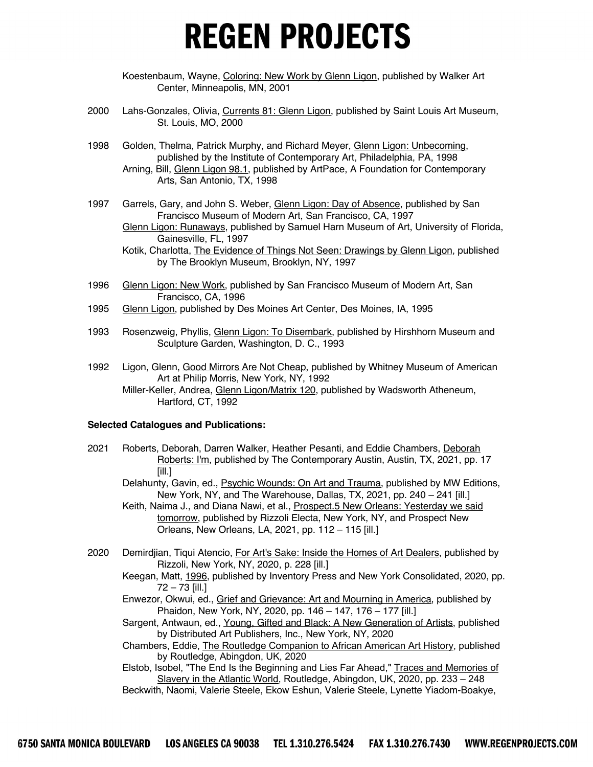Koestenbaum, Wayne, Coloring: New Work by Glenn Ligon, published by Walker Art Center, Minneapolis, MN, 2001

- 2000 Lahs-Gonzales, Olivia, Currents 81: Glenn Ligon, published by Saint Louis Art Museum, St. Louis, MO, 2000
- 1998 Golden, Thelma, Patrick Murphy, and Richard Meyer, Glenn Ligon: Unbecoming, published by the Institute of Contemporary Art, Philadelphia, PA, 1998 Arning, Bill, Glenn Ligon 98.1, published by ArtPace, A Foundation for Contemporary Arts, San Antonio, TX, 1998
- 1997 Garrels, Gary, and John S. Weber, Glenn Ligon: Day of Absence, published by San Francisco Museum of Modern Art, San Francisco, CA, 1997 Glenn Ligon: Runaways, published by Samuel Harn Museum of Art, University of Florida, Gainesville, FL, 1997
	- Kotik, Charlotta, The Evidence of Things Not Seen: Drawings by Glenn Ligon, published by The Brooklyn Museum, Brooklyn, NY, 1997
- 1996 Glenn Ligon: New Work, published by San Francisco Museum of Modern Art, San Francisco, CA, 1996
- 1995 Glenn Ligon, published by Des Moines Art Center, Des Moines, IA, 1995
- 1993 Rosenzweig, Phyllis, *Glenn Ligon: To Disembark*, published by Hirshhorn Museum and Sculpture Garden, Washington, D. C., 1993
- 1992 Ligon, Glenn, Good Mirrors Are Not Cheap, published by Whitney Museum of American Art at Philip Morris, New York, NY, 1992 Miller-Keller, Andrea, Glenn Ligon/Matrix 120, published by Wadsworth Atheneum, Hartford, CT, 1992

#### **Selected Catalogues and Publications:**

- 2021 Roberts, Deborah, Darren Walker, Heather Pesanti, and Eddie Chambers, Deborah Roberts: I'm*,* published by The Contemporary Austin, Austin, TX, 2021, pp. 17 [ill.]
	- Delahunty, Gavin, ed., **Psychic Wounds: On Art and Trauma**, published by MW Editions, New York, NY, and The Warehouse, Dallas, TX, 2021, pp. 240 – 241 [ill.]
	- Keith, Naima J., and Diana Nawi, et al., Prospect.5 New Orleans: Yesterday we said tomorrow, published by Rizzoli Electa, New York, NY, and Prospect New Orleans, New Orleans, LA, 2021, pp. 112 – 115 [ill.]
- 2020 Demirdjian, Tiqui Atencio, For Art's Sake: Inside the Homes of Art Dealers, published by Rizzoli, New York, NY, 2020, p. 228 [ill.]
	- Keegan, Matt, 1996, published by Inventory Press and New York Consolidated, 2020, pp. 72 – 73 [ill.]
	- Enwezor, Okwui, ed., Grief and Grievance: Art and Mourning in America, published by Phaidon, New York, NY, 2020, pp. 146 – 147, 176 – 177 [ill.]
	- Sargent, Antwaun, ed., Young, Gifted and Black: A New Generation of Artists, published by Distributed Art Publishers, Inc., New York, NY, 2020
	- Chambers, Eddie, The Routledge Companion to African American Art History, published by Routledge, Abingdon, UK, 2020

Elstob, Isobel, "The End Is the Beginning and Lies Far Ahead," Traces and Memories of Slavery in the Atlantic World, Routledge, Abingdon, UK, 2020, pp. 233 – 248 Beckwith, Naomi, Valerie Steele, Ekow Eshun, Valerie Steele, Lynette Yiadom-Boakye,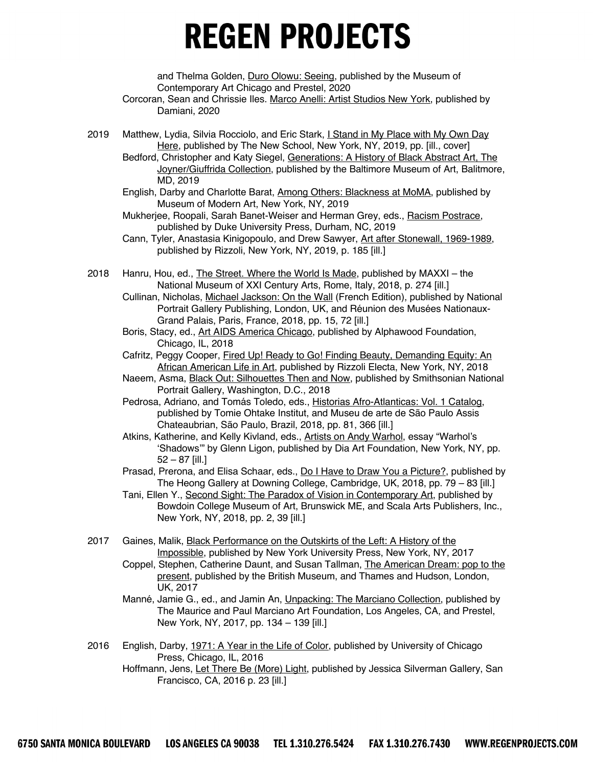and Thelma Golden, Duro Olowu: Seeing, published by the Museum of Contemporary Art Chicago and Prestel, 2020

- Corcoran, Sean and Chrissie Iles. Marco Anelli: Artist Studios New York, published by Damiani, 2020
- 2019 Matthew, Lydia, Silvia Rocciolo, and Eric Stark, I Stand in My Place with My Own Day Here, published by The New School, New York, NY, 2019, pp. [ill., cover]
	- Bedford, Christopher and Katy Siegel, Generations: A History of Black Abstract Art, The Joyner/Giuffrida Collection, published by the Baltimore Museum of Art, Balitmore, MD, 2019
	- English, Darby and Charlotte Barat, Among Others: Blackness at MoMA, published by Museum of Modern Art, New York, NY, 2019

Mukherjee, Roopali, Sarah Banet-Weiser and Herman Grey, eds., Racism Postrace, published by Duke University Press, Durham, NC, 2019

- Cann, Tyler, Anastasia Kinigopoulo, and Drew Sawyer, Art after Stonewall, 1969-1989, published by Rizzoli, New York, NY, 2019, p. 185 [ill.]
- 2018 Hanru, Hou, ed., The Street. Where the World Is Made, published by MAXXI the National Museum of XXI Century Arts, Rome, Italy, 2018, p. 274 [ill.]
	- Cullinan, Nicholas, Michael Jackson: On the Wall (French Edition), published by National Portrait Gallery Publishing, London, UK, and Réunion des Musées Nationaux-Grand Palais, Paris, France, 2018, pp. 15, 72 [ill.]
	- Boris, Stacy, ed., Art AIDS America Chicago, published by Alphawood Foundation, Chicago, IL, 2018
	- Cafritz, Peggy Cooper, Fired Up! Ready to Go! Finding Beauty, Demanding Equity: An African American Life in Art, published by Rizzoli Electa, New York, NY, 2018
	- Naeem, Asma, **Black Out: Silhouettes Then and Now**, published by Smithsonian National Portrait Gallery, Washington, D.C., 2018
	- Pedrosa, Adriano, and Tomás Toledo, eds., Historias Afro-Atlanticas: Vol. 1 Catalog, published by Tomie Ohtake Institut, and Museu de arte de São Paulo Assis Chateaubrian, São Paulo, Brazil, 2018, pp. 81, 366 [ill.]
	- Atkins, Katherine, and Kelly Kivland, eds., Artists on Andy Warhol, essay "Warhol's 'Shadows'" by Glenn Ligon, published by Dia Art Foundation, New York, NY, pp. 52 – 87 [ill.]
	- Prasad, Prerona, and Elisa Schaar, eds., Do I Have to Draw You a Picture?, published by The Heong Gallery at Downing College, Cambridge, UK, 2018, pp. 79 – 83 [ill.]
	- Tani, Ellen Y., Second Sight: The Paradox of Vision in Contemporary Art, published by Bowdoin College Museum of Art, Brunswick ME, and Scala Arts Publishers, Inc., New York, NY, 2018, pp. 2, 39 [ill.]
- 2017 Gaines, Malik, Black Performance on the Outskirts of the Left: A History of the Impossible, published by New York University Press, New York, NY, 2017
	- Coppel, Stephen, Catherine Daunt, and Susan Tallman, The American Dream: pop to the present, published by the British Museum, and Thames and Hudson, London, UK, 2017
	- Manné, Jamie G., ed., and Jamin An, Unpacking: The Marciano Collection, published by The Maurice and Paul Marciano Art Foundation, Los Angeles, CA, and Prestel, New York, NY, 2017, pp. 134 – 139 [ill.]
- 2016 English, Darby, 1971: A Year in the Life of Color, published by University of Chicago Press, Chicago, IL, 2016
	- Hoffmann, Jens, Let There Be (More) Light, published by Jessica Silverman Gallery, San Francisco, CA, 2016 p. 23 [ill.]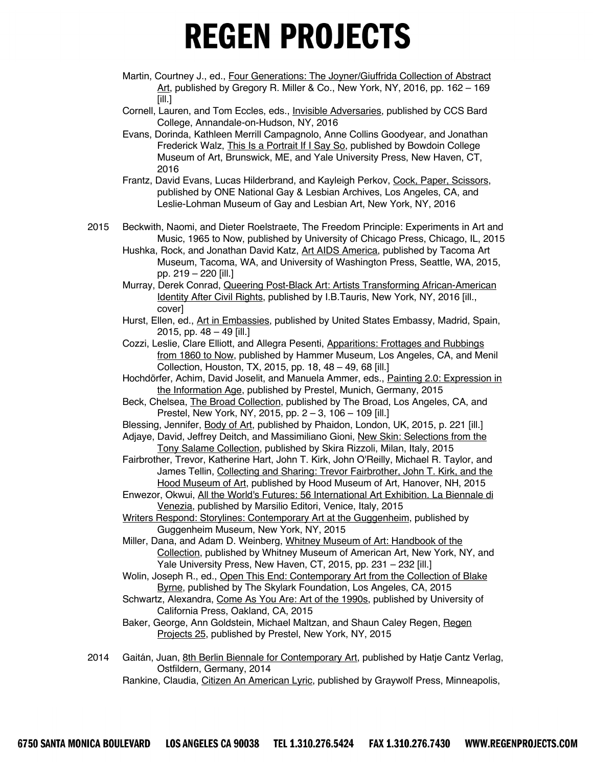- Martin, Courtney J., ed., Four Generations: The Joyner/Giuffrida Collection of Abstract Art, published by Gregory R. Miller & Co., New York, NY, 2016, pp. 162 - 169 [ill.]
- Cornell, Lauren, and Tom Eccles, eds., Invisible Adversaries, published by CCS Bard College, Annandale-on-Hudson, NY, 2016
- Evans, Dorinda, Kathleen Merrill Campagnolo, Anne Collins Goodyear, and Jonathan Frederick Walz, This Is a Portrait If I Say So, published by Bowdoin College Museum of Art, Brunswick, ME, and Yale University Press, New Haven, CT, 2016
- Frantz, David Evans, Lucas Hilderbrand, and Kayleigh Perkov, Cock, Paper, Scissors, published by ONE National Gay & Lesbian Archives, Los Angeles, CA, and Leslie-Lohman Museum of Gay and Lesbian Art, New York, NY, 2016
- 2015 Beckwith, Naomi, and Dieter Roelstraete, The Freedom Principle: Experiments in Art and Music, 1965 to Now, published by University of Chicago Press, Chicago, IL, 2015
	- Hushka, Rock, and Jonathan David Katz, Art AIDS America, published by Tacoma Art Museum, Tacoma, WA, and University of Washington Press, Seattle, WA, 2015, pp. 219 – 220 [ill.]
	- Murray, Derek Conrad, Queering Post-Black Art: Artists Transforming African-American Identity After Civil Rights, published by I.B.Tauris, New York, NY, 2016 [ill., cover]
	- Hurst, Ellen, ed., Art in Embassies, published by United States Embassy, Madrid, Spain, 2015, pp.  $48 - 49$  [ill.]
	- Cozzi, Leslie, Clare Elliott, and Allegra Pesenti, Apparitions: Frottages and Rubbings from 1860 to Now, published by Hammer Museum, Los Angeles, CA, and Menil Collection, Houston, TX, 2015, pp. 18, 48 – 49, 68 [ill.]
	- Hochdörfer, Achim, David Joselit, and Manuela Ammer, eds., Painting 2.0: Expression in the Information Age, published by Prestel, Munich, Germany, 2015
	- Beck, Chelsea, *The Broad Collection*, published by The Broad, Los Angeles, CA, and Prestel, New York, NY, 2015, pp. 2 – 3, 106 – 109 [ill.]
	- Blessing, Jennifer, Body of Art, published by Phaidon, London, UK, 2015, p. 221 [ill.]
	- Adjaye, David, Jeffrey Deitch, and Massimiliano Gioni, New Skin: Selections from the Tony Salame Collection, published by Skira Rizzoli, Milan, Italy, 2015
	- Fairbrother, Trevor, Katherine Hart, John T. Kirk, John O'Reilly, Michael R. Taylor, and James Tellin, Collecting and Sharing: Trevor Fairbrother, John T. Kirk, and the Hood Museum of Art, published by Hood Museum of Art, Hanover, NH, 2015
	- Enwezor, Okwui, All the World's Futures: 56 International Art Exhibition. La Biennale di Venezia, published by Marsilio Editori, Venice, Italy, 2015
	- Writers Respond: Storylines: Contemporary Art at the Guggenheim, published by Guggenheim Museum, New York, NY, 2015
	- Miller, Dana, and Adam D. Weinberg, Whitney Museum of Art: Handbook of the Collection, published by Whitney Museum of American Art, New York, NY, and Yale University Press, New Haven, CT, 2015, pp. 231 – 232 [ill.]
	- Wolin, Joseph R., ed., Open This End: Contemporary Art from the Collection of Blake Byrne, published by The Skylark Foundation, Los Angeles, CA, 2015
	- Schwartz, Alexandra, Come As You Are: Art of the 1990s, published by University of California Press, Oakland, CA, 2015
	- Baker, George, Ann Goldstein, Michael Maltzan, and Shaun Caley Regen, Regen Projects 25, published by Prestel, New York, NY, 2015
- 2014 Gaitán, Juan, 8th Berlin Biennale for Contemporary Art, published by Hatje Cantz Verlag, Ostfildern, Germany, 2014
	- Rankine, Claudia, Citizen An American Lyric, published by Graywolf Press, Minneapolis,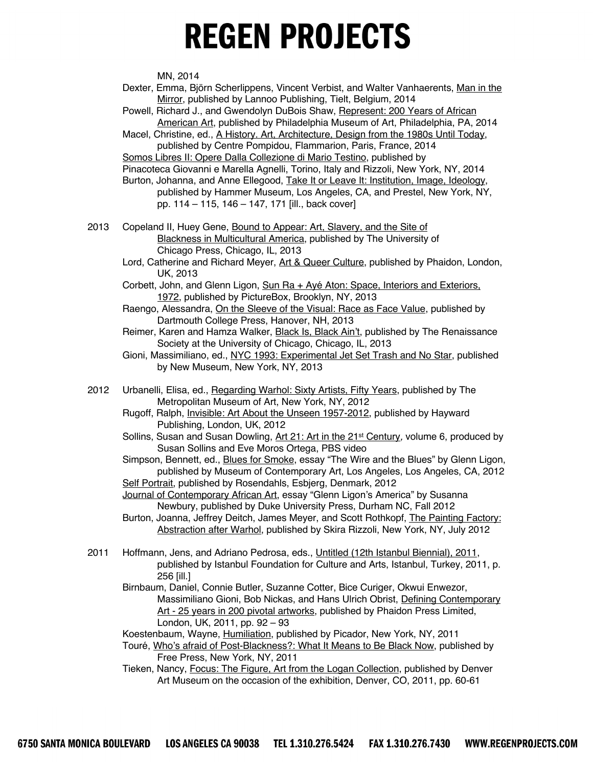MN, 2014

Dexter, Emma, Björn Scherlippens, Vincent Verbist, and Walter Vanhaerents, Man in the Mirror, published by Lannoo Publishing, Tielt, Belgium, 2014

Powell, Richard J., and Gwendolyn DuBois Shaw, Represent: 200 Years of African American Art, published by Philadelphia Museum of Art, Philadelphia, PA, 2014

Macel, Christine, ed., A History. Art, Architecture, Design from the 1980s Until Today, published by Centre Pompidou, Flammarion, Paris, France, 2014

Somos Libres II: Opere Dalla Collezione di Mario Testino, published by

Pinacoteca Giovanni e Marella Agnelli, Torino, Italy and Rizzoli, New York, NY, 2014

- Burton, Johanna, and Anne Ellegood, Take It or Leave It: Institution, Image, Ideology, published by Hammer Museum, Los Angeles, CA, and Prestel, New York, NY, pp. 114 – 115, 146 – 147, 171 [ill., back cover]
- 2013 Copeland II, Huey Gene, Bound to Appear: Art, Slavery, and the Site of Blackness in Multicultural America, published by The University of Chicago Press, Chicago, IL, 2013
	- Lord, Catherine and Richard Meyer, Art & Queer Culture, published by Phaidon, London, UK, 2013
	- Corbett, John, and Glenn Ligon, Sun Ra + Ayé Aton: Space, Interiors and Exteriors, 1972, published by PictureBox, Brooklyn, NY, 2013
	- Raengo, Alessandra, On the Sleeve of the Visual: Race as Face Value, published by Dartmouth College Press, Hanover, NH, 2013
	- Reimer, Karen and Hamza Walker, Black Is, Black Ain't, published by The Renaissance Society at the University of Chicago, Chicago, IL, 2013
	- Gioni, Massimiliano, ed., NYC 1993: Experimental Jet Set Trash and No Star, published by New Museum, New York, NY, 2013
- 2012 Urbanelli, Elisa, ed., Regarding Warhol: Sixty Artists, Fifty Years, published by The Metropolitan Museum of Art, New York, NY, 2012
	- Rugoff, Ralph, Invisible: Art About the Unseen 1957-2012, published by Hayward Publishing, London, UK, 2012
	- Sollins, Susan and Susan Dowling, Art 21: Art in the 21st Century*,* volume 6, produced by Susan Sollins and Eve Moros Ortega, PBS video
	- Simpson, Bennett, ed., **Blues for Smoke**, essay "The Wire and the Blues" by Glenn Ligon, published by Museum of Contemporary Art, Los Angeles, Los Angeles, CA, 2012 Self Portrait, published by Rosendahls, Esbjerg, Denmark, 2012
	- Journal of Contemporary African Art, essay "Glenn Ligon's America" by Susanna Newbury, published by Duke University Press, Durham NC, Fall 2012
	- Burton, Joanna, Jeffrey Deitch, James Meyer, and Scott Rothkopf, The Painting Factory: Abstraction after Warhol, published by Skira Rizzoli, New York, NY, July 2012
- 2011 Hoffmann, Jens, and Adriano Pedrosa, eds., Untitled (12th Istanbul Biennial), 2011, published by Istanbul Foundation for Culture and Arts, Istanbul, Turkey, 2011, p. 256 [ill.]
	- Birnbaum, Daniel, Connie Butler, Suzanne Cotter, Bice Curiger, Okwui Enwezor, Massimiliano Gioni, Bob Nickas, and Hans Ulrich Obrist, Defining Contemporary Art - 25 years in 200 pivotal artworks, published by Phaidon Press Limited, London, UK, 2011, pp. 92 – 93

Koestenbaum, Wayne, Humiliation, published by Picador, New York, NY, 2011

- Touré, Who's afraid of Post-Blackness?: What It Means to Be Black Now, published by Free Press, New York, NY, 2011
- Tieken, Nancy, Focus: The Figure, Art from the Logan Collection, published by Denver Art Museum on the occasion of the exhibition, Denver, CO, 2011, pp. 60-61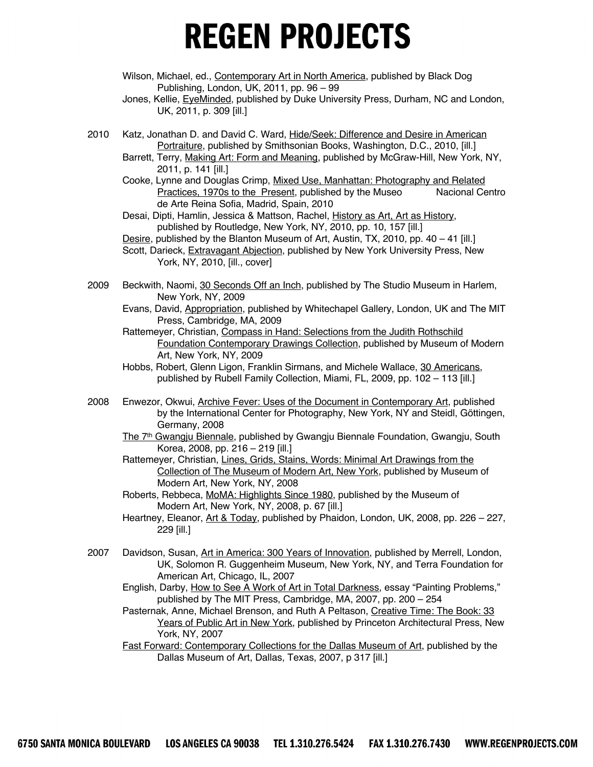- Wilson, Michael, ed., Contemporary Art in North America, published by Black Dog Publishing, London, UK, 2011, pp. 96 – 99
- Jones, Kellie, EyeMinded, published by Duke University Press, Durham, NC and London, UK, 2011, p. 309 [ill.]
- 2010 Katz, Jonathan D. and David C. Ward, Hide/Seek: Difference and Desire in American Portraiture, published by Smithsonian Books, Washington, D.C., 2010, [ill.]
	- Barrett, Terry, Making Art: Form and Meaning, published by McGraw-Hill, New York, NY, 2011, p. 141 [ill.]
	- Cooke, Lynne and Douglas Crimp, Mixed Use, Manhattan: Photography and Related Practices, 1970s to the Present, published by the Museo Nacional Centro de Arte Reina Sofia, Madrid, Spain, 2010

Desai, Dipti, Hamlin, Jessica & Mattson, Rachel, History as Art, Art as History, published by Routledge, New York, NY, 2010, pp. 10, 157 [ill.]

- Desire, published by the Blanton Museum of Art, Austin, TX, 2010, pp. 40 41 [ill.]
- Scott, Darieck, Extravagant Abjection, published by New York University Press, New York, NY, 2010, [ill., cover]
- 2009 Beckwith, Naomi, 30 Seconds Off an Inch, published by The Studio Museum in Harlem, New York, NY, 2009
	- Evans, David, Appropriation, published by Whitechapel Gallery, London, UK and The MIT Press, Cambridge, MA, 2009
	- Rattemeyer, Christian, Compass in Hand: Selections from the Judith Rothschild Foundation Contemporary Drawings Collection, published by Museum of Modern Art, New York, NY, 2009
	- Hobbs, Robert, Glenn Ligon, Franklin Sirmans, and Michele Wallace, 30 Americans, published by Rubell Family Collection, Miami, FL, 2009, pp. 102 – 113 [ill.]
- 2008 Enwezor, Okwui, Archive Fever: Uses of the Document in Contemporary Art, published by the International Center for Photography, New York, NY and Steidl, Göttingen, Germany, 2008
	- The 7<sup>th</sup> Gwangju Biennale, published by Gwangju Biennale Foundation, Gwangju, South Korea, 2008, pp. 216 – 219 [ill.]
	- Rattemeyer, Christian, Lines, Grids, Stains, Words: Minimal Art Drawings from the Collection of The Museum of Modern Art, New York, published by Museum of Modern Art, New York, NY, 2008
	- Roberts, Rebbeca, MoMA: Highlights Since 1980, published by the Museum of Modern Art, New York, NY, 2008, p. 67 [ill.]
	- Heartney, Eleanor, Art & Today, published by Phaidon, London, UK, 2008, pp. 226 227, 229 [ill.]
- 2007 Davidson, Susan, Art in America: 300 Years of Innovation, published by Merrell, London, UK, Solomon R. Guggenheim Museum, New York, NY, and Terra Foundation for American Art, Chicago, IL, 2007
	- English, Darby, How to See A Work of Art in Total Darkness, essay "Painting Problems," published by The MIT Press, Cambridge, MA, 2007, pp. 200 – 254

Pasternak, Anne, Michael Brenson, and Ruth A Peltason, Creative Time: The Book: 33 Years of Public Art in New York, published by Princeton Architectural Press, New York, NY, 2007

Fast Forward: Contemporary Collections for the Dallas Museum of Art, published by the Dallas Museum of Art, Dallas, Texas, 2007, p 317 [ill.]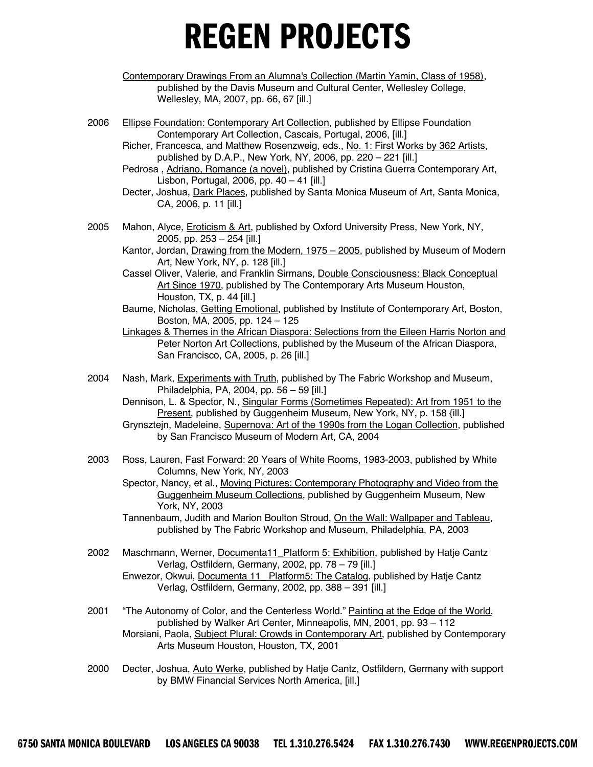- Contemporary Drawings From an Alumna's Collection (Martin Yamin, Class of 1958), published by the Davis Museum and Cultural Center, Wellesley College, Wellesley, MA, 2007, pp. 66, 67 [ill.]
- 2006 Ellipse Foundation: Contemporary Art Collection, published by Ellipse Foundation Contemporary Art Collection, Cascais, Portugal, 2006, [ill.]
	- Richer, Francesca, and Matthew Rosenzweig, eds., No. 1: First Works by 362 Artists, published by D.A.P., New York, NY, 2006, pp. 220 – 221 [ill.]
	- Pedrosa, Adriano, Romance (a novel), published by Cristina Guerra Contemporary Art, Lisbon, Portugal, 2006, pp. 40 – 41 [ill.]
	- Decter, Joshua, *Dark Places*, published by Santa Monica Museum of Art, Santa Monica, CA, 2006, p. 11 [ill.]
- 2005 Mahon, Alyce, Eroticism & Art, published by Oxford University Press, New York, NY, 2005, pp. 253 – 254 [ill.]
	- Kantor, Jordan, Drawing from the Modern, 1975 2005, published by Museum of Modern Art, New York, NY, p. 128 [ill.]
	- Cassel Oliver, Valerie, and Franklin Sirmans, Double Consciousness: Black Conceptual Art Since 1970, published by The Contemporary Arts Museum Houston, Houston, TX, p. 44 [ill.]
	- Baume, Nicholas, Getting Emotional, published by Institute of Contemporary Art, Boston, Boston, MA, 2005, pp. 124 – 125
	- Linkages & Themes in the African Diaspora: Selections from the Eileen Harris Norton and Peter Norton Art Collections, published by the Museum of the African Diaspora, San Francisco, CA, 2005, p. 26 [ill.]
- 2004 Nash, Mark, Experiments with Truth, published by The Fabric Workshop and Museum, Philadelphia, PA, 2004, pp. 56 – 59 [ill.]
	- Dennison, L. & Spector, N., Singular Forms (Sometimes Repeated): Art from 1951 to the Present, published by Guggenheim Museum, New York, NY, p. 158 {ill.]
	- Grynsztejn, Madeleine, Supernova: Art of the 1990s from the Logan Collection, published by San Francisco Museum of Modern Art, CA, 2004
- 2003 Ross, Lauren, Fast Forward: 20 Years of White Rooms, 1983-2003, published by White Columns, New York, NY, 2003
	- Spector, Nancy, et al., Moving Pictures: Contemporary Photography and Video from the Guggenheim Museum Collections, published by Guggenheim Museum, New York, NY, 2003
	- Tannenbaum, Judith and Marion Boulton Stroud, On the Wall: Wallpaper and Tableau, published by The Fabric Workshop and Museum, Philadelphia, PA, 2003
- 2002 Maschmann, Werner, Documenta11 Platform 5: Exhibition, published by Hatje Cantz Verlag, Ostfildern, Germany, 2002, pp. 78 – 79 [ill.] Enwezor, Okwui, Documenta 11 Platform5: The Catalog, published by Hatje Cantz Verlag, Ostfildern, Germany, 2002, pp. 388 – 391 [ill.]
- 2001 "The Autonomy of Color, and the Centerless World." Painting at the Edge of the World, published by Walker Art Center, Minneapolis, MN, 2001, pp. 93 – 112 Morsiani, Paola, Subject Plural: Crowds in Contemporary Art, published by Contemporary Arts Museum Houston, Houston, TX, 2001
- 2000 Decter, Joshua, Auto Werke, published by Hatje Cantz, Ostfildern, Germany with support by BMW Financial Services North America, [ill.]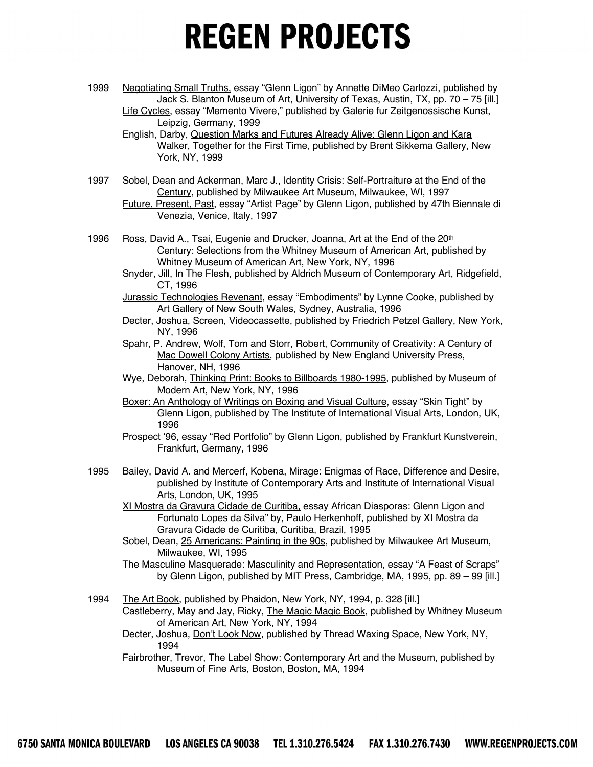1999 Negotiating Small Truths, essay "Glenn Ligon" by Annette DiMeo Carlozzi, published by Jack S. Blanton Museum of Art, University of Texas, Austin, TX, pp. 70 – 75 [ill.] Life Cycles, essay "Memento Vivere," published by Galerie fur Zeitgenossische Kunst,

- English, Darby, Question Marks and Futures Already Alive: Glenn Ligon and Kara Walker, Together for the First Time, published by Brent Sikkema Gallery, New York, NY, 1999
- 1997 Sobel, Dean and Ackerman, Marc J., *Identity Crisis: Self-Portraiture at the End of the* Century, published by Milwaukee Art Museum, Milwaukee, WI, 1997
	- Future, Present, Past, essay "Artist Page" by Glenn Ligon, published by 47th Biennale di Venezia, Venice, Italy, 1997
- 1996 Ross, David A., Tsai, Eugenie and Drucker, Joanna, Art at the End of the 20<sup>th</sup> Century: Selections from the Whitney Museum of American Art, published by Whitney Museum of American Art, New York, NY, 1996
	- Snyder, Jill, In The Flesh, published by Aldrich Museum of Contemporary Art, Ridgefield, CT, 1996
	- Jurassic Technologies Revenant, essay "Embodiments" by Lynne Cooke, published by Art Gallery of New South Wales, Sydney, Australia, 1996
	- Decter, Joshua, Screen, Videocassette, published by Friedrich Petzel Gallery, New York, NY, 1996
	- Spahr, P. Andrew, Wolf, Tom and Storr, Robert, Community of Creativity: A Century of Mac Dowell Colony Artists, published by New England University Press, Hanover, NH, 1996
	- Wye, Deborah, *Thinking Print: Books to Billboards 1980-1995*, published by Museum of Modern Art, New York, NY, 1996
	- Boxer: An Anthology of Writings on Boxing and Visual Culture, essay "Skin Tight" by Glenn Ligon, published by The Institute of International Visual Arts, London, UK, 1996
	- Prospect '96, essay "Red Portfolio" by Glenn Ligon, published by Frankfurt Kunstverein, Frankfurt, Germany, 1996
- 1995 Bailey, David A. and Mercerf, Kobena, Mirage: Enigmas of Race, Difference and Desire, published by Institute of Contemporary Arts and Institute of International Visual Arts, London, UK, 1995
	- XI Mostra da Gravura Cidade de Curitiba, essay African Diasporas: Glenn Ligon and Fortunato Lopes da Silva" by, Paulo Herkenhoff, published by XI Mostra da Gravura Cidade de Curitiba, Curitiba, Brazil, 1995
	- Sobel, Dean, 25 Americans: Painting in the 90s, published by Milwaukee Art Museum, Milwaukee, WI, 1995
	- The Masculine Masquerade: Masculinity and Representation, essay "A Feast of Scraps" by Glenn Ligon, published by MIT Press, Cambridge, MA, 1995, pp. 89 – 99 [ill.]
- 1994 The Art Book, published by Phaidon, New York, NY, 1994, p. 328 [ill.] Castleberry, May and Jay, Ricky, The Magic Magic Book, published by Whitney Museum of American Art, New York, NY, 1994
	- Decter, Joshua, **Don't Look Now**, published by Thread Waxing Space, New York, NY, 1994
	- Fairbrother, Trevor, The Label Show: Contemporary Art and the Museum, published by Museum of Fine Arts, Boston, Boston, MA, 1994

Leipzig, Germany, 1999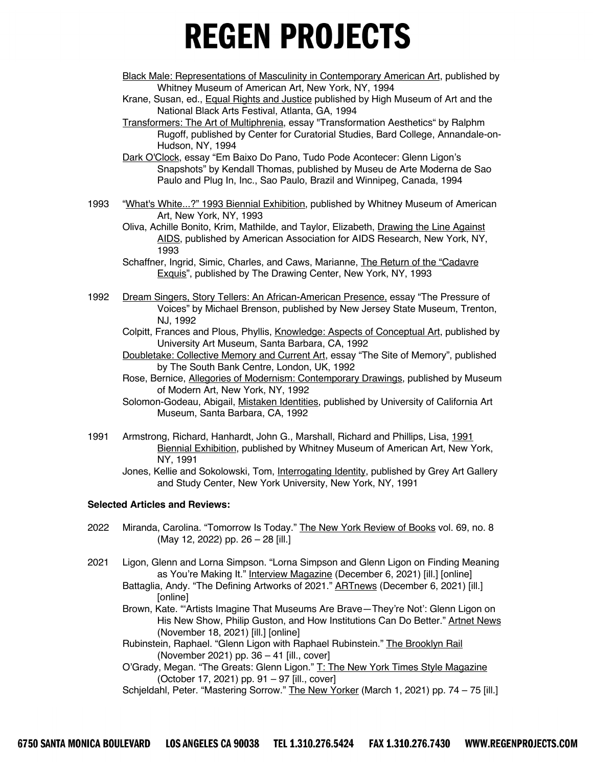- Black Male: Representations of Masculinity in Contemporary American Art, published by Whitney Museum of American Art, New York, NY, 1994
- Krane, Susan, ed., Equal Rights and Justice published by High Museum of Art and the National Black Arts Festival, Atlanta, GA, 1994
- Transformers: The Art of Multiphrenia, essay "Transformation Aesthetics" by Ralphm Rugoff, published by Center for Curatorial Studies, Bard College, Annandale-on-Hudson, NY, 1994

Dark O'Clock, essay "Em Baixo Do Pano, Tudo Pode Acontecer: Glenn Ligon's Snapshots" by Kendall Thomas, published by Museu de Arte Moderna de Sao Paulo and Plug In, Inc., Sao Paulo, Brazil and Winnipeg, Canada, 1994

1993 "What's White...?" 1993 Biennial Exhibition, published by Whitney Museum of American Art, New York, NY, 1993

Oliva, Achille Bonito, Krim, Mathilde, and Taylor, Elizabeth, Drawing the Line Against AIDS, published by American Association for AIDS Research, New York, NY, 1993

- Schaffner, Ingrid, Simic, Charles, and Caws, Marianne, The Return of the "Cadavre Exquis", published by The Drawing Center, New York, NY, 1993
- 1992 Dream Singers, Story Tellers: An African-American Presence, essay "The Pressure of Voices" by Michael Brenson, published by New Jersey State Museum, Trenton, NJ, 1992
	- Colpitt, Frances and Plous, Phyllis, Knowledge: Aspects of Conceptual Art, published by University Art Museum, Santa Barbara, CA, 1992
	- Doubletake: Collective Memory and Current Art, essay "The Site of Memory", published by The South Bank Centre, London, UK, 1992
	- Rose, Bernice, **Allegories of Modernism: Contemporary Drawings**, published by Museum of Modern Art, New York, NY, 1992
	- Solomon-Godeau, Abigail, Mistaken Identities, published by University of California Art Museum, Santa Barbara, CA, 1992
- 1991 Armstrong, Richard, Hanhardt, John G., Marshall, Richard and Phillips, Lisa, 1991 Biennial Exhibition, published by Whitney Museum of American Art, New York, NY, 1991

Jones, Kellie and Sokolowski, Tom, *Interrogating Identity*, published by Grey Art Gallery and Study Center, New York University, New York, NY, 1991

#### **Selected Articles and Reviews:**

- 2022 Miranda, Carolina. "Tomorrow Is Today." The New York Review of Books vol. 69, no. 8 (May 12, 2022) pp. 26 – 28 [ill.]
- 2021 Ligon, Glenn and Lorna Simpson. "Lorna Simpson and Glenn Ligon on Finding Meaning as You're Making It." Interview Magazine (December 6, 2021) [ill.] [online]
	- Battaglia, Andy. "The Defining Artworks of 2021." **ARTnews** (December 6, 2021) [ill.] [online]
	- Brown, Kate. "'Artists Imagine That Museums Are Brave—They're Not': Glenn Ligon on His New Show, Philip Guston, and How Institutions Can Do Better." Artnet News (November 18, 2021) [ill.] [online]

Rubinstein, Raphael. "Glenn Ligon with Raphael Rubinstein." The Brooklyn Rail (November 2021) pp. 36 – 41 [ill., cover]

O'Grady, Megan. "The Greats: Glenn Ligon." T: The New York Times Style Magazine (October 17, 2021) pp. 91 – 97 [ill., cover]

Schjeldahl, Peter. "Mastering Sorrow." The New Yorker (March 1, 2021) pp. 74 - 75 [ill.]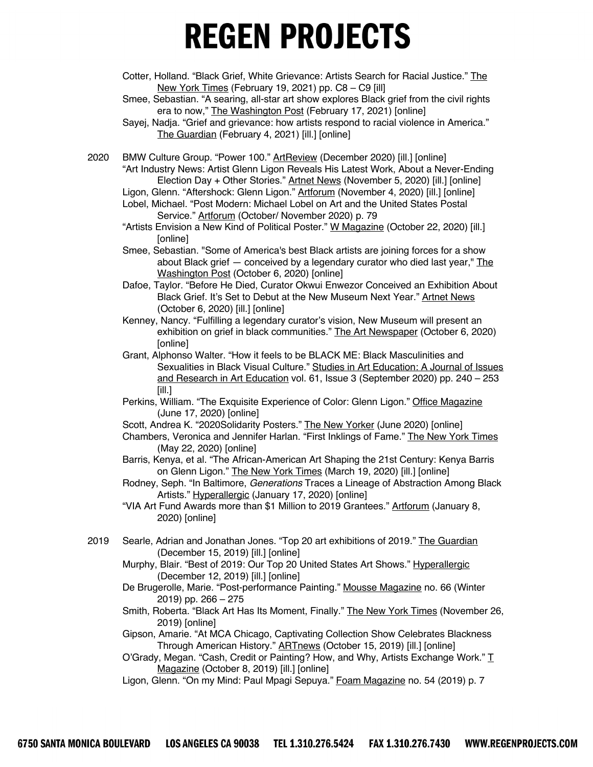- Cotter, Holland. "Black Grief, White Grievance: Artists Search for Racial Justice." The New York Times (February 19, 2021) pp. C8 – C9 [ill]
- Smee, Sebastian. "A searing, all-star art show explores Black grief from the civil rights era to now," The Washington Post (February 17, 2021) [online]
- Sayej, Nadja. "Grief and grievance: how artists respond to racial violence in America." The Guardian (February 4, 2021) [ill.] [online]

2020 BMW Culture Group. "Power 100." ArtReview (December 2020) [ill.] [online] "Art Industry News: Artist Glenn Ligon Reveals His Latest Work, About a Never-Ending Election Day + Other Stories." Artnet News (November 5, 2020) [ill.] [online]

- Ligon, Glenn. "Aftershock: Glenn Ligon." Artforum (November 4, 2020) [ill.] [online]
- Lobel, Michael. "Post Modern: Michael Lobel on Art and the United States Postal Service." Artforum (October/ November 2020) p. 79
- "Artists Envision a New Kind of Political Poster." W Magazine (October 22, 2020) [ill.] [online]
- Smee, Sebastian. "Some of America's best Black artists are joining forces for a show about Black grief — conceived by a legendary curator who died last year," The Washington Post (October 6, 2020) [online]
- Dafoe, Taylor. "Before He Died, Curator Okwui Enwezor Conceived an Exhibition About Black Grief. It's Set to Debut at the New Museum Next Year." Artnet News (October 6, 2020) [ill.] [online]
- Kenney, Nancy. "Fulfilling a legendary curator's vision, New Museum will present an exhibition on grief in black communities." The Art Newspaper (October 6, 2020) [online]
- Grant, Alphonso Walter. "How it feels to be BLACK ME: Black Masculinities and Sexualities in Black Visual Culture." Studies in Art Education: A Journal of Issues and Research in Art Education vol. 61, Issue 3 (September 2020) pp. 240 – 253 [ill.]
- Perkins, William. "The Exquisite Experience of Color: Glenn Ligon." Office Magazine (June 17, 2020) [online]
- Scott, Andrea K. "2020Solidarity Posters." The New Yorker (June 2020) [online]
- Chambers, Veronica and Jennifer Harlan. "First Inklings of Fame." The New York Times (May 22, 2020) [online]
- Barris, Kenya, et al. "The African-American Art Shaping the 21st Century: Kenya Barris on Glenn Ligon." The New York Times (March 19, 2020) [ill.] [online]
- Rodney, Seph. "In Baltimore, *Generations* Traces a Lineage of Abstraction Among Black Artists." Hyperallergic (January 17, 2020) [online]

"VIA Art Fund Awards more than \$1 Million to 2019 Grantees." Artforum (January 8, 2020) [online]

- 2019 Searle, Adrian and Jonathan Jones. "Top 20 art exhibitions of 2019." The Guardian (December 15, 2019) [ill.] [online]
	- Murphy, Blair. "Best of 2019: Our Top 20 United States Art Shows." Hyperallergic (December 12, 2019) [ill.] [online]
	- De Brugerolle, Marie. "Post-performance Painting." Mousse Magazine no. 66 (Winter 2019) pp. 266 – 275
	- Smith, Roberta. "Black Art Has Its Moment, Finally." The New York Times (November 26, 2019) [online]
	- Gipson, Amarie. "At MCA Chicago, Captivating Collection Show Celebrates Blackness Through American History." ARTnews (October 15, 2019) [ill.] [online]
	- O'Grady, Megan. "Cash, Credit or Painting? How, and Why, Artists Exchange Work."  $\underline{T}$ Magazine (October 8, 2019) [ill.] [online]
	- Ligon, Glenn. "On my Mind: Paul Mpagi Sepuya." Foam Magazine no. 54 (2019) p. 7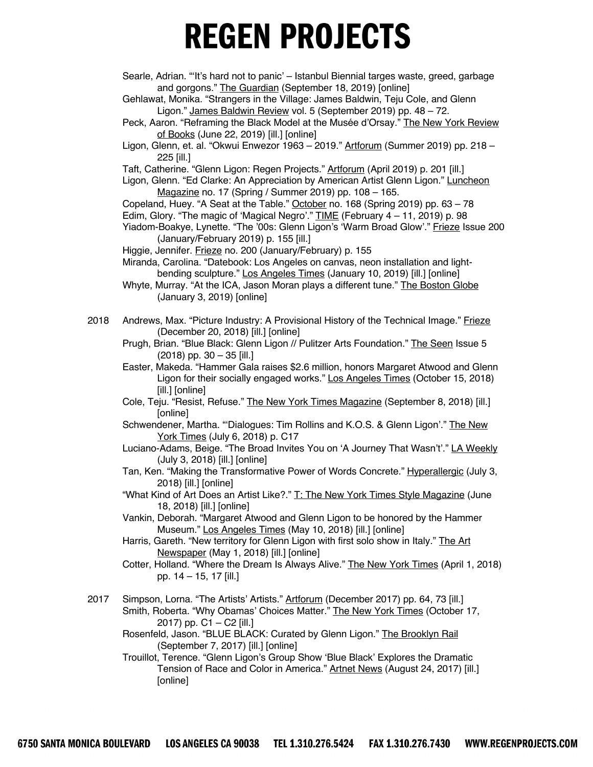Searle, Adrian. "'It's hard not to panic' – Istanbul Biennial targes waste, greed, garbage and gorgons." The Guardian (September 18, 2019) [online]

Gehlawat, Monika. "Strangers in the Village: James Baldwin, Teju Cole, and Glenn Ligon." James Baldwin Review vol. 5 (September 2019) pp. 48 – 72.

- Peck, Aaron. "Reframing the Black Model at the Musée d'Orsay." The New York Review of Books (June 22, 2019) [ill.] [online]
- Ligon, Glenn, et. al. "Okwui Enwezor 1963 2019." Artforum (Summer 2019) pp. 218 225 [ill.]

Taft, Catherine. "Glenn Ligon: Regen Projects." Artforum (April 2019) p. 201 [ill.]

Ligon, Glenn. "Ed Clarke: An Appreciation by American Artist Glenn Ligon." Luncheon Magazine no. 17 (Spring / Summer 2019) pp. 108 – 165.

Copeland, Huey. "A Seat at the Table." October no. 168 (Spring 2019) pp. 63 – 78 Edim, Glory. "The magic of 'Magical Negro'." TIME (February 4 – 11, 2019) p. 98 Yiadom-Boakye, Lynette. "The '00s: Glenn Ligon's 'Warm Broad Glow'." Frieze Issue 200

(January/February 2019) p. 155 [ill.]

Higgie, Jennifer. Frieze no. 200 (January/February) p. 155

- Miranda, Carolina. "Datebook: Los Angeles on canvas, neon installation and lightbending sculpture." Los Angeles Times (January 10, 2019) [ill.] [online]
- Whyte, Murray. "At the ICA, Jason Moran plays a different tune." The Boston Globe (January 3, 2019) [online]
- 2018 Andrews, Max. "Picture Industry: A Provisional History of the Technical Image." Frieze (December 20, 2018) [ill.] [online]
	- Prugh, Brian. "Blue Black: Glenn Ligon // Pulitzer Arts Foundation." The Seen Issue 5 (2018) pp. 30 – 35 [ill.]

Easter, Makeda. "Hammer Gala raises \$2.6 million, honors Margaret Atwood and Glenn Ligon for their socially engaged works." Los Angeles Times (October 15, 2018) [ill.] [online]

Cole, Teju. "Resist, Refuse." The New York Times Magazine (September 8, 2018) [ill.] [online]

Schwendener, Martha. "'Dialogues: Tim Rollins and K.O.S. & Glenn Ligon'." The New York Times (July 6, 2018) p. C17

- Luciano-Adams, Beige. "The Broad Invites You on 'A Journey That Wasn't'." LA Weekly (July 3, 2018) [ill.] [online]
- Tan, Ken. "Making the Transformative Power of Words Concrete." Hyperallergic (July 3, 2018) [ill.] [online]
- "What Kind of Art Does an Artist Like?." T: The New York Times Style Magazine (June 18, 2018) [ill.] [online]
- Vankin, Deborah. "Margaret Atwood and Glenn Ligon to be honored by the Hammer Museum." Los Angeles Times (May 10, 2018) [ill.] [online]
- Harris, Gareth. "New territory for Glenn Ligon with first solo show in Italy." The Art Newspaper (May 1, 2018) [ill.] [online]
- Cotter, Holland. "Where the Dream Is Always Alive." The New York Times (April 1, 2018) pp. 14 – 15, 17 [ill.]
- 2017 Simpson, Lorna. "The Artists' Artists." Artforum (December 2017) pp. 64, 73 [ill.] Smith, Roberta. "Why Obamas' Choices Matter." The New York Times (October 17, 2017) pp. C1 – C2 [ill.]
	- Rosenfeld, Jason. "BLUE BLACK: Curated by Glenn Ligon." The Brooklyn Rail (September 7, 2017) [ill.] [online]

Trouillot, Terence. "Glenn Ligon's Group Show 'Blue Black' Explores the Dramatic Tension of Race and Color in America." Artnet News (August 24, 2017) [ill.] [online]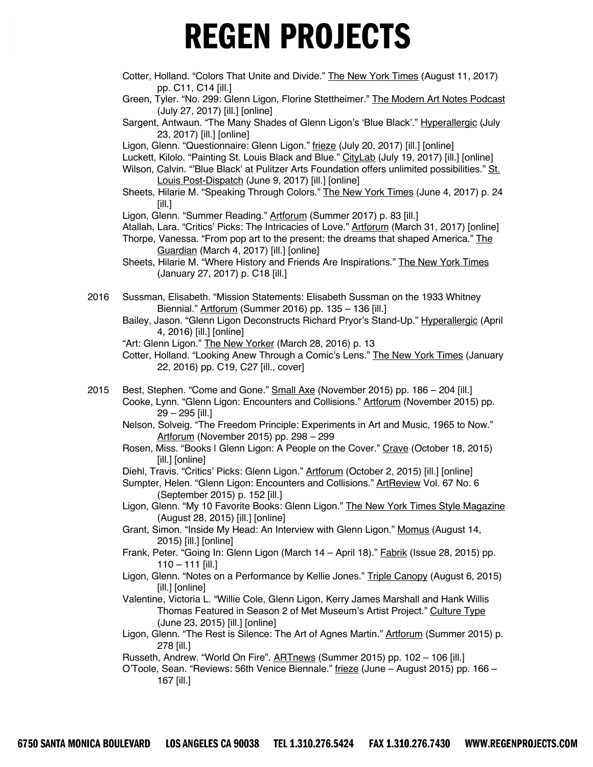- Cotter, Holland. "Colors That Unite and Divide." The New York Times (August 11, 2017) pp. C11, C14 [ill.]
- Green, Tyler. "No. 299: Glenn Ligon, Florine Stettheimer." The Modern Art Notes Podcast (July 27, 2017) [ill.] [online]
- Sargent, Antwaun. "The Many Shades of Glenn Ligon's 'Blue Black'." Hyperallergic (July 23, 2017) [ill.] [online]

Ligon, Glenn. "Questionnaire: Glenn Ligon." frieze (July 20, 2017) [ill.] [online]

Luckett, Kilolo. "Painting St. Louis Black and Blue." CityLab (July 19, 2017) [ill.] [online]

Wilson, Calvin. "'Blue Black' at Pulitzer Arts Foundation offers unlimited possibilities." St. Louis Post-Dispatch (June 9, 2017) [ill.] [online]

Sheets, Hilarie M. "Speaking Through Colors." The New York Times (June 4, 2017) p. 24 [ill.]

Ligon, Glenn. "Summer Reading." Artforum (Summer 2017) p. 83 [ill.]

- Atallah, Lara. "Critics' Picks: The Intricacies of Love." Artforum (March 31, 2017) [online]
- Thorpe, Vanessa. "From pop art to the present: the dreams that shaped America." The Guardian (March 4, 2017) [ill.] [online]
- Sheets, Hilarie M. "Where History and Friends Are Inspirations." The New York Times (January 27, 2017) p. C18 [ill.]
- 2016 Sussman, Elisabeth. "Mission Statements: Elisabeth Sussman on the 1933 Whitney Biennial." Artforum (Summer 2016) pp. 135 – 136 [ill.]
	- Bailey, Jason. "Glenn Ligon Deconstructs Richard Pryor's Stand-Up." Hyperallergic (April 4, 2016) [ill.] [online]

"Art: Glenn Ligon." The New Yorker (March 28, 2016) p. 13

Cotter, Holland. "Looking Anew Through a Comic's Lens." The New York Times (January 22, 2016) pp. C19, C27 [ill., cover]

- 2015 Best, Stephen. "Come and Gone." Small Axe (November 2015) pp. 186 204 [ill.] Cooke, Lynn. "Glenn Ligon: Encounters and Collisions." Artforum (November 2015) pp. 29 – 295 [ill.]
	- Nelson, Solveig. "The Freedom Principle: Experiments in Art and Music, 1965 to Now." Artforum (November 2015) pp. 298 – 299
	- Rosen, Miss. "Books I Glenn Ligon: A People on the Cover." Crave (October 18, 2015) [ill.] [online]

Diehl, Travis. "Critics' Picks: Glenn Ligon." Artforum (October 2, 2015) [ill.] [online]

- Sumpter, Helen. "Glenn Ligon: Encounters and Collisions." ArtReview Vol. 67 No. 6 (September 2015) p. 152 [ill.]
- Ligon, Glenn. "My 10 Favorite Books: Glenn Ligon." The New York Times Style Magazine (August 28, 2015) [ill.] [online]
- Grant, Simon. "Inside My Head: An Interview with Glenn Ligon." Momus (August 14, 2015) [ill.] [online]
- Frank, Peter. "Going In: Glenn Ligon (March 14 April 18)." Fabrik (Issue 28, 2015) pp.  $110 - 111$  [ill.]
- Ligon, Glenn. "Notes on a Performance by Kellie Jones." Triple Canopy (August 6, 2015) [ill.] [online]
- Valentine, Victoria L. "Willie Cole, Glenn Ligon, Kerry James Marshall and Hank Willis Thomas Featured in Season 2 of Met Museum's Artist Project." Culture Type (June 23, 2015) [ill.] [online]
- Ligon, Glenn. "The Rest is Silence: The Art of Agnes Martin." Artforum (Summer 2015) p. 278 [ill.]

Russeth, Andrew. "World On Fire". **ARTnews** (Summer 2015) pp. 102 - 106 [ill.]

O'Toole, Sean. "Reviews: 56th Venice Biennale." frieze (June – August 2015) pp. 166 – 167 [ill.]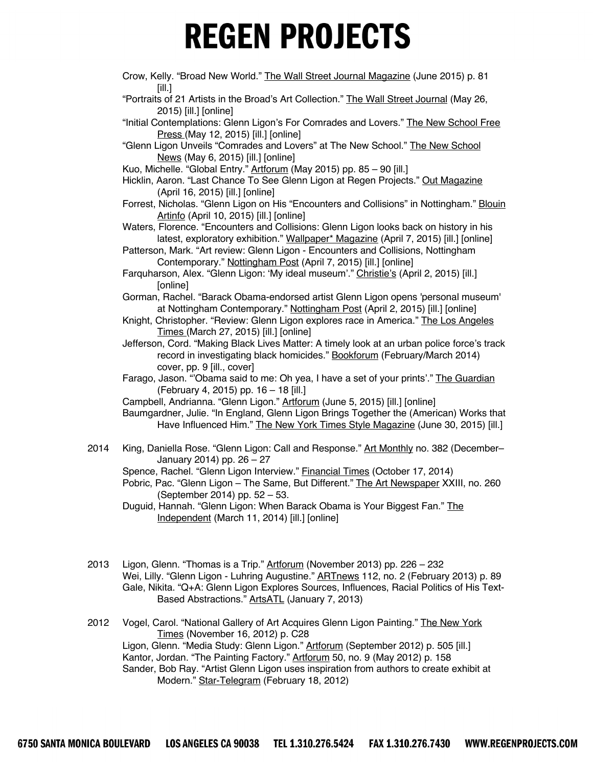- Crow, Kelly. "Broad New World." The Wall Street Journal Magazine (June 2015) p. 81 [ill.]
- "Portraits of 21 Artists in the Broad's Art Collection." The Wall Street Journal (May 26, 2015) [ill.] [online]
- "Initial Contemplations: Glenn Ligon's For Comrades and Lovers." The New School Free Press (May 12, 2015) [ill.] [online]
- "Glenn Ligon Unveils "Comrades and Lovers" at The New School." The New School News (May 6, 2015) [ill.] [online]
- Kuo, Michelle. "Global Entry." Artforum (May 2015) pp. 85 90 [ill.]
- Hicklin, Aaron. "Last Chance To See Glenn Ligon at Regen Projects." Out Magazine (April 16, 2015) [ill.] [online]
- Forrest, Nicholas. "Glenn Ligon on His "Encounters and Collisions" in Nottingham." Blouin Artinfo (April 10, 2015) [ill.] [online]
- Waters, Florence. "Encounters and Collisions: Glenn Ligon looks back on history in his latest, exploratory exhibition." Wallpaper\* Magazine (April 7, 2015) [ill.] [online]
- Patterson, Mark. "Art review: Glenn Ligon Encounters and Collisions, Nottingham Contemporary." Nottingham Post (April 7, 2015) [ill.] [online]
- Farquharson, Alex. "Glenn Ligon: 'My ideal museum'." Christie's (April 2, 2015) [ill.] [online]
- Gorman, Rachel. "Barack Obama-endorsed artist Glenn Ligon opens 'personal museum' at Nottingham Contemporary." Nottingham Post (April 2, 2015) [ill.] [online]
- Knight, Christopher. "Review: Glenn Ligon explores race in America." The Los Angeles Times (March 27, 2015) [ill.] [online]
- Jefferson, Cord. "Making Black Lives Matter: A timely look at an urban police force's track record in investigating black homicides." Bookforum (February/March 2014) cover, pp. 9 [ill., cover]
- Farago, Jason. "'Obama said to me: Oh yea, I have a set of your prints'." The Guardian (February 4, 2015) pp. 16 – 18 [ill.]
- Campbell, Andrianna. "Glenn Ligon." Artforum (June 5, 2015) [ill.] [online]
- Baumgardner, Julie. "In England, Glenn Ligon Brings Together the (American) Works that Have Influenced Him." The New York Times Style Magazine (June 30, 2015) [ill.]
- 2014 King, Daniella Rose. "Glenn Ligon: Call and Response." Art Monthly no. 382 (December– January 2014) pp. 26 – 27
	- Spence, Rachel. "Glenn Ligon Interview." Financial Times (October 17, 2014)
	- Pobric, Pac. "Glenn Ligon The Same, But Different." The Art Newspaper XXIII, no. 260 (September 2014) pp. 52 – 53.
	- Duguid, Hannah. "Glenn Ligon: When Barack Obama is Your Biggest Fan." The Independent (March 11, 2014) [ill.] [online]
- 2013 Ligon, Glenn. "Thomas is a Trip." Artforum (November 2013) pp. 226 232 Wei, Lilly. "Glenn Ligon - Luhring Augustine." ARTnews 112, no. 2 (February 2013) p. 89 Gale, Nikita. "Q+A: Glenn Ligon Explores Sources, Influences, Racial Politics of His Text-Based Abstractions." ArtsATL (January 7, 2013)
- 2012 Vogel, Carol. "National Gallery of Art Acquires Glenn Ligon Painting." The New York Times (November 16, 2012) p. C28 Ligon, Glenn. "Media Study: Glenn Ligon." Artforum (September 2012) p. 505 [ill.] Kantor, Jordan. "The Painting Factory." Artforum 50, no. 9 (May 2012) p. 158 Sander, Bob Ray. "Artist Glenn Ligon uses inspiration from authors to create exhibit at Modern." Star-Telegram (February 18, 2012)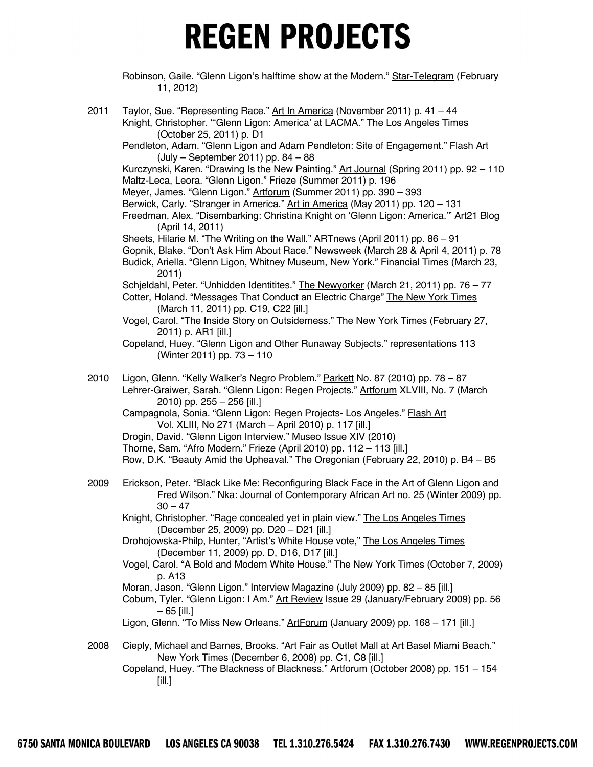Robinson, Gaile. "Glenn Ligon's halftime show at the Modern." Star-Telegram (February 11, 2012)

- 2011 Taylor, Sue. "Representing Race." Art In America (November 2011) p. 41 44 Knight, Christopher. ""Glenn Ligon: America' at LACMA." The Los Angeles Times (October 25, 2011) p. D1 Pendleton, Adam. "Glenn Ligon and Adam Pendleton: Site of Engagement." **Flash Art** (July – September 2011) pp. 84 – 88 Kurczynski, Karen. "Drawing Is the New Painting." Art Journal (Spring 2011) pp. 92 – 110 Maltz-Leca, Leora. "Glenn Ligon." Frieze (Summer 2011) p. 196 Meyer, James. "Glenn Ligon." Artforum (Summer 2011) pp. 390 – 393 Berwick, Carly. "Stranger in America." Art in America (May 2011) pp. 120 – 131 Freedman, Alex. "Disembarking: Christina Knight on 'Glenn Ligon: America.'" Art21 Blog (April 14, 2011) Sheets, Hilarie M. "The Writing on the Wall." **ARTnews** (April 2011) pp. 86 - 91 Gopnik, Blake. "Don't Ask Him About Race." Newsweek (March 28 & April 4, 2011) p. 78 Budick, Ariella. "Glenn Ligon, Whitney Museum, New York." Financial Times (March 23, 2011) Schjeldahl, Peter. "Unhidden Identitites." The Newyorker (March 21, 2011) pp. 76 – 77 Cotter, Holand. "Messages That Conduct an Electric Charge" The New York Times (March 11, 2011) pp. C19, C22 [ill.] Vogel, Carol. "The Inside Story on Outsiderness." The New York Times (February 27, 2011) p. AR1 [ill.] Copeland, Huey. "Glenn Ligon and Other Runaway Subjects." representations 113 (Winter 2011) pp. 73 – 110 2010 Ligon, Glenn. "Kelly Walker's Negro Problem." Parkett No. 87 (2010) pp. 78 - 87 Lehrer-Graiwer, Sarah. "Glenn Ligon: Regen Projects." Artforum XLVIII, No. 7 (March 2010) pp. 255 – 256 [ill.] Campagnola, Sonia. "Glenn Ligon: Regen Projects- Los Angeles." Flash Art Vol. XLIII, No 271 (March – April 2010) p. 117 [ill.] Drogin, David. "Glenn Ligon Interview." Museo Issue XIV (2010) Thorne, Sam. "Afro Modern." Frieze (April 2010) pp. 112 - 113 [ill.] Row, D.K. "Beauty Amid the Upheaval." The Oregonian (February 22, 2010) p. B4 – B5 2009 Erickson, Peter. "Black Like Me: Reconfiguring Black Face in the Art of Glenn Ligon and Fred Wilson." Nka: Journal of Contemporary African Art no. 25 (Winter 2009) pp.  $30 - 47$ Knight, Christopher. "Rage concealed yet in plain view." The Los Angeles Times (December 25, 2009) pp. D20 – D21 [ill.] Drohojowska-Philp, Hunter, "Artist's White House vote," The Los Angeles Times (December 11, 2009) pp. D, D16, D17 [ill.] Vogel, Carol. "A Bold and Modern White House." The New York Times (October 7, 2009) p. A13 Moran, Jason. "Glenn Ligon." Interview Magazine (July 2009) pp. 82 - 85 [ill.] Coburn, Tyler. "Glenn Ligon: I Am." Art Review Issue 29 (January/February 2009) pp. 56 – 65 [ill.] Ligon, Glenn. "To Miss New Orleans." ArtForum (January 2009) pp. 168 - 171 [ill.]
- 2008 Cieply, Michael and Barnes, Brooks. "Art Fair as Outlet Mall at Art Basel Miami Beach." New York Times (December 6, 2008) pp. C1, C8 [ill.]

Copeland, Huey. "The Blackness of Blackness." Artforum (October 2008) pp. 151 – 154  $[ill.]$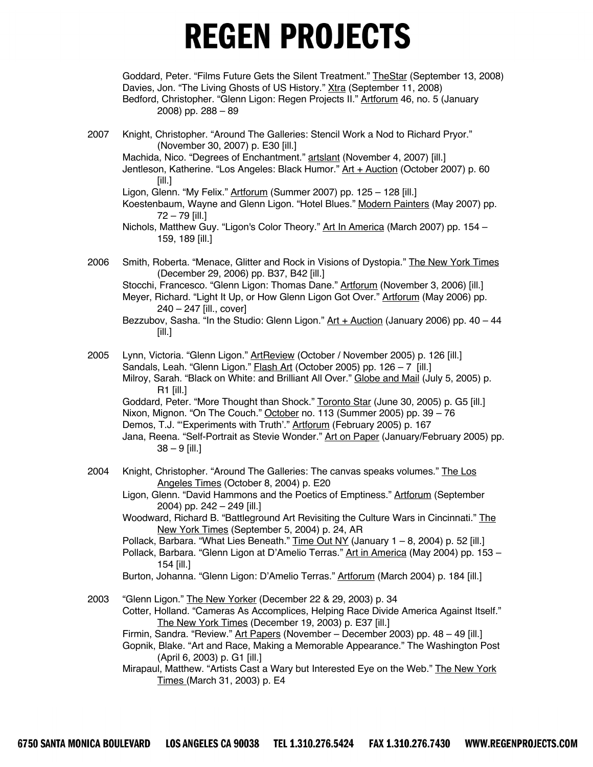Goddard, Peter. "Films Future Gets the Silent Treatment." TheStar (September 13, 2008) Davies, Jon. "The Living Ghosts of US History." Xtra (September 11, 2008) Bedford, Christopher. "Glenn Ligon: Regen Projects II." Artforum 46, no. 5 (January 2008) pp. 288 – 89

2007 Knight, Christopher. "Around The Galleries: Stencil Work a Nod to Richard Pryor." (November 30, 2007) p. E30 [ill.]

Machida, Nico. "Degrees of Enchantment." artslant (November 4, 2007) [ill.] Jentleson, Katherine. "Los Angeles: Black Humor." Art + Auction (October 2007) p. 60 [ill.]

Ligon, Glenn. "My Felix." Artforum (Summer 2007) pp. 125 - 128 [ill.]

Koestenbaum, Wayne and Glenn Ligon. "Hotel Blues." Modern Painters (May 2007) pp. 72 – 79 [ill.]

Nichols, Matthew Guy. "Ligon's Color Theory." Art In America (March 2007) pp. 154 – 159, 189 [ill.]

2006 Smith, Roberta. "Menace, Glitter and Rock in Visions of Dystopia." The New York Times (December 29, 2006) pp. B37, B42 [ill.]

Stocchi, Francesco. "Glenn Ligon: Thomas Dane." Artforum (November 3, 2006) [ill.] Meyer, Richard. "Light It Up, or How Glenn Ligon Got Over." Artforum (May 2006) pp. 240 – 247 [ill., cover]

- 2005 Lynn, Victoria. "Glenn Ligon." ArtReview (October / November 2005) p. 126 [ill.] Sandals, Leah. "Glenn Ligon." Flash Art (October 2005) pp. 126 - 7 [ill.] Milroy, Sarah. "Black on White: and Brilliant All Over." Globe and Mail (July 5, 2005) p. R1 [ill.] Goddard, Peter. "More Thought than Shock." Toronto Star (June 30, 2005) p. G5 [ill.] Nixon, Mignon. "On The Couch." October no. 113 (Summer 2005) pp. 39 – 76 Demos, T.J. "'Experiments with Truth'." Artforum (February 2005) p. 167 Jana, Reena. "Self-Portrait as Stevie Wonder." Art on Paper (January/February 2005) pp.  $38 - 9$  [ill.]
- 2004 Knight, Christopher. "Around The Galleries: The canvas speaks volumes." The Los Angeles Times (October 8, 2004) p. E20

Ligon, Glenn. "David Hammons and the Poetics of Emptiness." Artforum (September 2004) pp. 242 – 249 [ill.]

Woodward, Richard B. "Battleground Art Revisiting the Culture Wars in Cincinnati." The New York Times (September 5, 2004) p. 24, AR

Pollack, Barbara. "What Lies Beneath." Time Out NY (January 1 - 8, 2004) p. 52 [ill.]

Pollack, Barbara. "Glenn Ligon at D'Amelio Terras." Art in America (May 2004) pp. 153 -154 [ill.]

Burton, Johanna. "Glenn Ligon: D'Amelio Terras." Artforum (March 2004) p. 184 [ill.]

2003 "Glenn Ligon." The New Yorker (December 22 & 29, 2003) p. 34

Cotter, Holland. "Cameras As Accomplices, Helping Race Divide America Against Itself." The New York Times (December 19, 2003) p. E37 [ill.]

Firmin, Sandra. "Review." Art Papers (November – December 2003) pp. 48 – 49 [ill.]

Gopnik, Blake. "Art and Race, Making a Memorable Appearance." The Washington Post (April 6, 2003) p. G1 [ill.]

Mirapaul, Matthew. "Artists Cast a Wary but Interested Eye on the Web." The New York Times (March 31, 2003) p. E4

Bezzubov, Sasha. "In the Studio: Glenn Ligon."  $Art +$  Auction (January 2006) pp. 40 – 44 [ill.]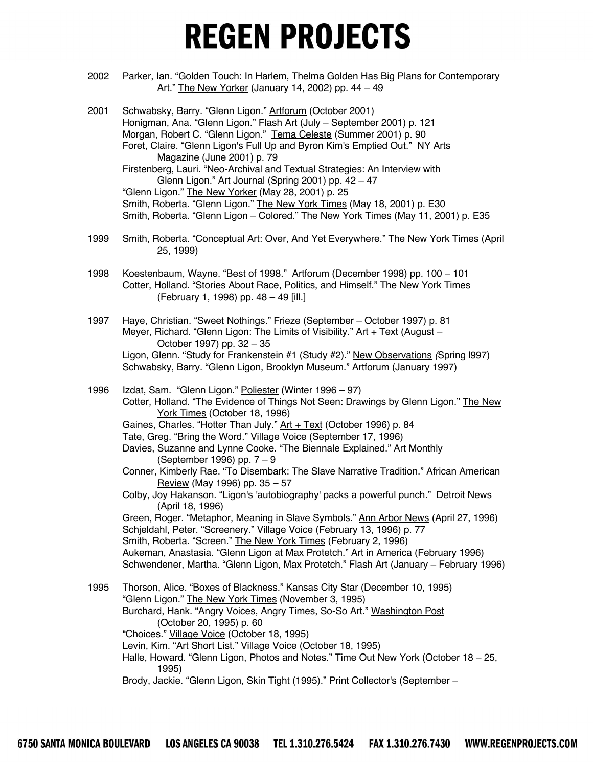- 2002 Parker, Ian. "Golden Touch: In Harlem, Thelma Golden Has Big Plans for Contemporary Art." The New Yorker (January 14, 2002) pp. 44 – 49
- 2001 Schwabsky, Barry. "Glenn Ligon." Artforum (October 2001) Honigman, Ana. "Glenn Ligon." Flash Art (July – September 2001) p. 121 Morgan, Robert C. "Glenn Ligon." Tema Celeste (Summer 2001) p. 90 Foret, Claire. "Glenn Ligon's Full Up and Byron Kim's Emptied Out." NY Arts Magazine (June 2001) p. 79 Firstenberg, Lauri. "Neo-Archival and Textual Strategies: An Interview with Glenn Ligon." Art Journal (Spring 2001) pp. 42 – 47 "Glenn Ligon." The New Yorker (May 28, 2001) p. 25 Smith, Roberta. "Glenn Ligon." The New York Times (May 18, 2001) p. E30 Smith, Roberta. "Glenn Ligon – Colored." The New York Times (May 11, 2001) p. E35
- 1999 Smith, Roberta. "Conceptual Art: Over, And Yet Everywhere." The New York Times (April 25, 1999)
- 1998 Koestenbaum, Wayne. "Best of 1998." Artforum (December 1998) pp. 100 101 Cotter, Holland. "Stories About Race, Politics, and Himself." The New York Times (February 1, 1998) pp. 48 – 49 [ill.]
- 1997 Haye, Christian. "Sweet Nothings." Frieze (September October 1997) p. 81 Meyer, Richard. "Glenn Ligon: The Limits of Visibility."  $Art + Text$  (August – October 1997) pp. 32 – 35 Ligon, Glenn. "Study for Frankenstein #1 (Study #2)." New Observations *(*Spring l997) Schwabsky, Barry. "Glenn Ligon, Brooklyn Museum." Artforum (January 1997)
- 1996 Izdat, Sam. "Glenn Ligon." Poliester (Winter 1996 97) Cotter, Holland. "The Evidence of Things Not Seen: Drawings by Glenn Ligon." The New York Times (October 18, 1996) Gaines, Charles. "Hotter Than July." Art + Text (October 1996) p. 84 Tate, Greg. "Bring the Word." Village Voice (September 17, 1996) Davies, Suzanne and Lynne Cooke. "The Biennale Explained." Art Monthly (September 1996) pp. 7 – 9 Conner, Kimberly Rae. "To Disembark: The Slave Narrative Tradition." African American Review (May 1996) pp. 35 – 57 Colby, Joy Hakanson. "Ligon's 'autobiography' packs a powerful punch." Detroit News (April 18, 1996) Green, Roger. "Metaphor, Meaning in Slave Symbols." Ann Arbor News (April 27, 1996) Schjeldahl, Peter. "Screenery." Village Voice (February 13, 1996) p. 77 Smith, Roberta. "Screen." The New York Times (February 2, 1996) Aukeman, Anastasia. "Glenn Ligon at Max Protetch." Art in America (February 1996) Schwendener, Martha. "Glenn Ligon, Max Protetch." **Flash Art (January – February 1996)** 1995 Thorson, Alice. "Boxes of Blackness." Kansas City Star (December 10, 1995) "Glenn Ligon." The New York Times (November 3, 1995) Burchard, Hank. "Angry Voices, Angry Times, So-So Art." Washington Post (October 20, 1995) p. 60 "Choices." Village Voice (October 18, 1995) Levin, Kim. "Art Short List." Village Voice (October 18, 1995) Halle, Howard. "Glenn Ligon, Photos and Notes." Time Out New York (October 18 – 25, 1995) Brody, Jackie. "Glenn Ligon, Skin Tight (1995)." Print Collector's (September -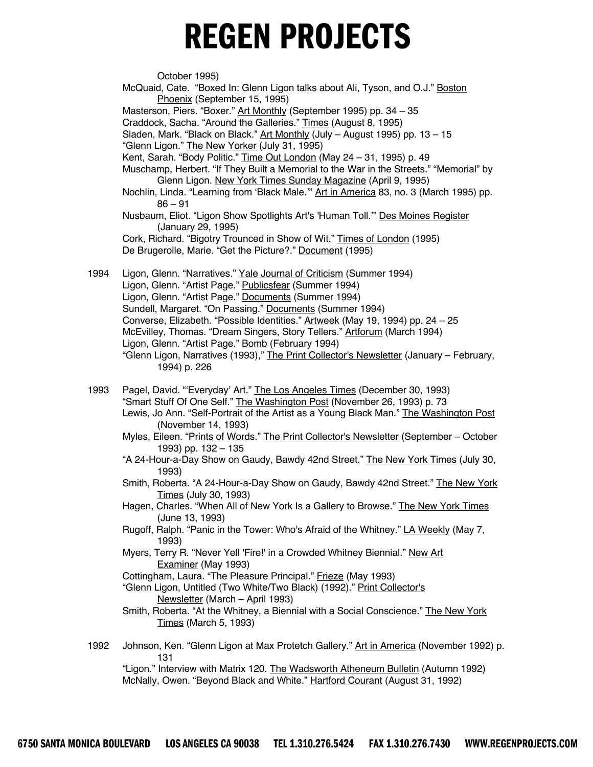October 1995) McQuaid, Cate. "Boxed In: Glenn Ligon talks about Ali, Tyson, and O.J." Boston Phoenix (September 15, 1995) Masterson, Piers. "Boxer." Art Monthly (September 1995) pp. 34 – 35 Craddock, Sacha. "Around the Galleries." Times (August 8, 1995) Sladen, Mark. "Black on Black." Art Monthly (July - August 1995) pp. 13 - 15 "Glenn Ligon." The New Yorker (July 31, 1995) Kent, Sarah. "Body Politic." Time Out London (May 24 – 31, 1995) p. 49 Muschamp, Herbert. "If They Built a Memorial to the War in the Streets." "Memorial" by Glenn Ligon. New York Times Sunday Magazine (April 9, 1995) Nochlin, Linda. "Learning from 'Black Male." Art in America 83, no. 3 (March 1995) pp.  $86 - 91$ Nusbaum, Eliot. "Ligon Show Spotlights Art's 'Human Toll.'" Des Moines Register (January 29, 1995) Cork, Richard. "Bigotry Trounced in Show of Wit." Times of London (1995) De Brugerolle, Marie. "Get the Picture?." Document (1995) 1994 Ligon, Glenn. "Narratives." Yale Journal of Criticism (Summer 1994) Ligon, Glenn. "Artist Page." Publicsfear (Summer 1994) Ligon, Glenn. "Artist Page." Documents (Summer 1994) Sundell, Margaret. "On Passing." Documents (Summer 1994) Converse, Elizabeth. "Possible Identities." Artweek (May 19, 1994) pp. 24 – 25 McEvilley, Thomas. "Dream Singers, Story Tellers." Artforum (March 1994) Ligon, Glenn. "Artist Page." Bomb (February 1994) "Glenn Ligon, Narratives (1993)," The Print Collector's Newsletter (January – February, 1994) p. 226 1993 Pagel, David. "'Everyday' Art." The Los Angeles Times (December 30, 1993) "Smart Stuff Of One Self." The Washington Post (November 26, 1993) p. 73 Lewis, Jo Ann. "Self-Portrait of the Artist as a Young Black Man." The Washington Post (November 14, 1993)

- Myles, Eileen. "Prints of Words." The Print Collector's Newsletter (September October 1993) pp. 132 – 135
- "A 24-Hour-a-Day Show on Gaudy, Bawdy 42nd Street." The New York Times (July 30, 1993)
- Smith, Roberta. "A 24-Hour-a-Day Show on Gaudy, Bawdy 42nd Street." The New York Times (July 30, 1993)
- Hagen, Charles. "When All of New York Is a Gallery to Browse." The New York Times (June 13, 1993)
- Rugoff, Ralph. "Panic in the Tower: Who's Afraid of the Whitney." LA Weekly (May 7, 1993)
- Myers, Terry R. "Never Yell 'Fire!' in a Crowded Whitney Biennial." New Art Examiner (May 1993)
- Cottingham, Laura. "The Pleasure Principal." Frieze (May 1993)
- "Glenn Ligon, Untitled (Two White/Two Black) (1992)." Print Collector's Newsletter (March – April 1993)
- Smith, Roberta. "At the Whitney, a Biennial with a Social Conscience." The New York Times (March 5, 1993)
- 1992 Johnson, Ken. "Glenn Ligon at Max Protetch Gallery." Art in America (November 1992) p. 131

"Ligon." Interview with Matrix 120. The Wadsworth Atheneum Bulletin (Autumn 1992) McNally, Owen. "Beyond Black and White." Hartford Courant (August 31, 1992)